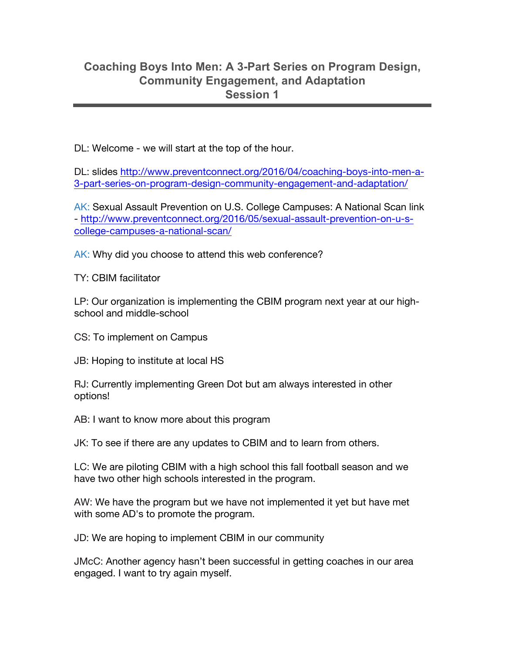## **Coaching Boys Into Men: A 3-Part Series on Program Design, Community Engagement, and Adaptation Session 1**

DL: Welcome - we will start at the top of the hour.

DL: slides http://www.preventconnect.org/2016/04/coaching-boys-into-men-a-3-part-series-on-program-design-community-engagement-and-adaptation/

AK: Sexual Assault Prevention on U.S. College Campuses: A National Scan link - http://www.preventconnect.org/2016/05/sexual-assault-prevention-on-u-scollege-campuses-a-national-scan/

AK: Why did you choose to attend this web conference?

TY: CBIM facilitator

LP: Our organization is implementing the CBIM program next year at our highschool and middle-school

CS: To implement on Campus

JB: Hoping to institute at local HS

RJ: Currently implementing Green Dot but am always interested in other options!

AB: I want to know more about this program

JK: To see if there are any updates to CBIM and to learn from others.

LC: We are piloting CBIM with a high school this fall football season and we have two other high schools interested in the program.

AW: We have the program but we have not implemented it yet but have met with some AD's to promote the program.

JD: We are hoping to implement CBIM in our community

JMcC: Another agency hasn't been successful in getting coaches in our area engaged. I want to try again myself.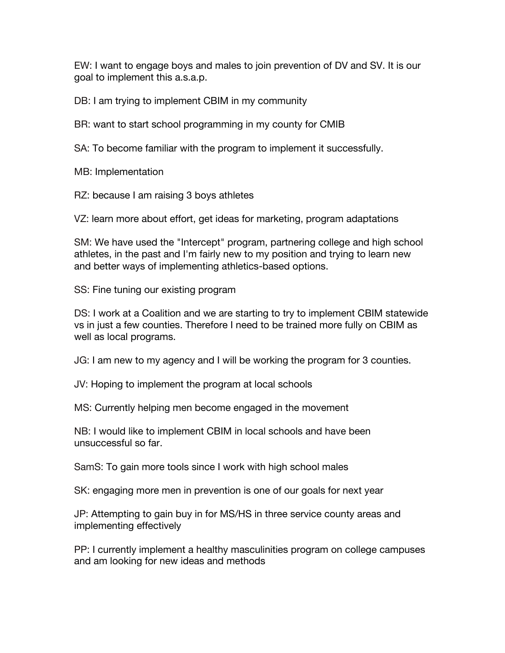EW: I want to engage boys and males to join prevention of DV and SV. It is our goal to implement this a.s.a.p.

DB: I am trying to implement CBIM in my community

BR: want to start school programming in my county for CMIB

SA: To become familiar with the program to implement it successfully.

MB: Implementation

RZ: because I am raising 3 boys athletes

VZ: learn more about effort, get ideas for marketing, program adaptations

SM: We have used the "Intercept" program, partnering college and high school athletes, in the past and I'm fairly new to my position and trying to learn new and better ways of implementing athletics-based options.

SS: Fine tuning our existing program

DS: I work at a Coalition and we are starting to try to implement CBIM statewide vs in just a few counties. Therefore I need to be trained more fully on CBIM as well as local programs.

JG: I am new to my agency and I will be working the program for 3 counties.

JV: Hoping to implement the program at local schools

MS: Currently helping men become engaged in the movement

NB: I would like to implement CBIM in local schools and have been unsuccessful so far.

SamS: To gain more tools since I work with high school males

SK: engaging more men in prevention is one of our goals for next year

JP: Attempting to gain buy in for MS/HS in three service county areas and implementing effectively

PP: I currently implement a healthy masculinities program on college campuses and am looking for new ideas and methods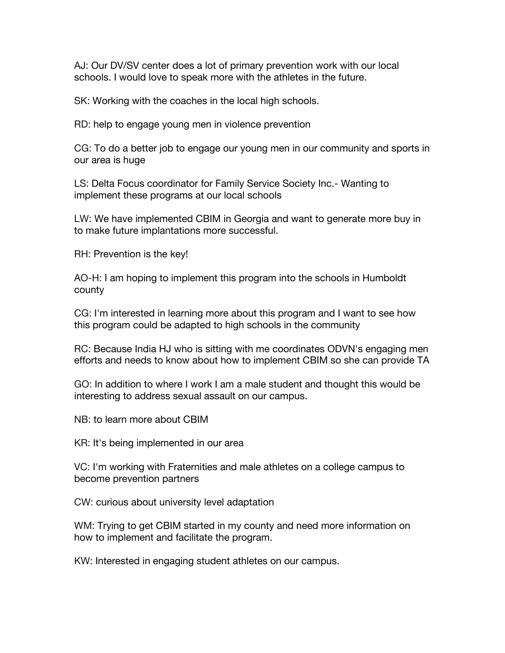AJ: Our DV/SV center does a lot of primary prevention work with our local schools. I would love to speak more with the athletes in the future.

SK: Working with the coaches in the local high schools.

RD: help to engage young men in violence prevention

CG: To do a better job to engage our young men in our community and sports in our area is huge

LS: Delta Focus coordinator for Family Service Society Inc.- Wanting to implement these programs at our local schools

LW: We have implemented CBIM in Georgia and want to generate more buy in to make future implantations more successful.

RH: Prevention is the key!

AO-H: I am hoping to implement this program into the schools in Humboldt county

CG: I'm interested in learning more about this program and I want to see how this program could be adapted to high schools in the community

RC: Because India HJ who is sitting with me coordinates ODVN's engaging men efforts and needs to know about how to implement CBIM so she can provide TA

GO: In addition to where I work I am a male student and thought this would be interesting to address sexual assault on our campus.

NB: to learn more about CBIM

KR: It's being implemented in our area

VC: I'm working with Fraternities and male athletes on a college campus to become prevention partners

CW: curious about university level adaptation

WM: Trying to get CBIM started in my county and need more information on how to implement and facilitate the program.

KW: Interested in engaging student athletes on our campus.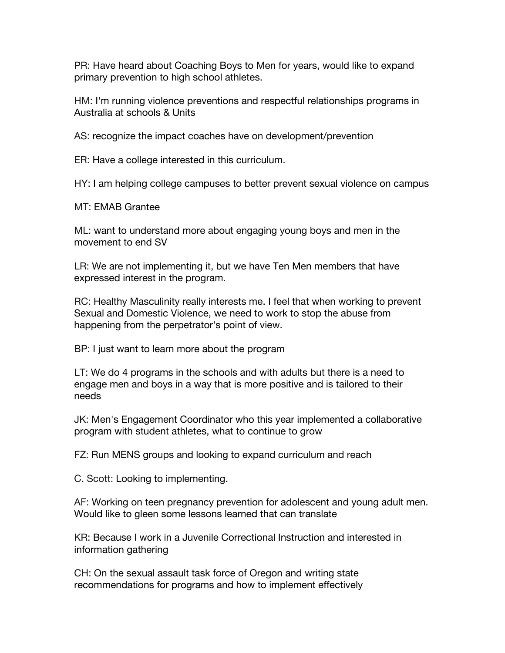PR: Have heard about Coaching Boys to Men for years, would like to expand primary prevention to high school athletes.

HM: I'm running violence preventions and respectful relationships programs in Australia at schools & Units

AS: recognize the impact coaches have on development/prevention

ER: Have a college interested in this curriculum.

HY: I am helping college campuses to better prevent sexual violence on campus

MT: EMAB Grantee

ML: want to understand more about engaging young boys and men in the movement to end SV

LR: We are not implementing it, but we have Ten Men members that have expressed interest in the program.

RC: Healthy Masculinity really interests me. I feel that when working to prevent Sexual and Domestic Violence, we need to work to stop the abuse from happening from the perpetrator's point of view.

BP: I just want to learn more about the program

LT: We do 4 programs in the schools and with adults but there is a need to engage men and boys in a way that is more positive and is tailored to their needs

JK: Men's Engagement Coordinator who this year implemented a collaborative program with student athletes, what to continue to grow

FZ: Run MENS groups and looking to expand curriculum and reach

C. Scott: Looking to implementing.

AF: Working on teen pregnancy prevention for adolescent and young adult men. Would like to gleen some lessons learned that can translate

KR: Because I work in a Juvenile Correctional Instruction and interested in information gathering

CH: On the sexual assault task force of Oregon and writing state recommendations for programs and how to implement effectively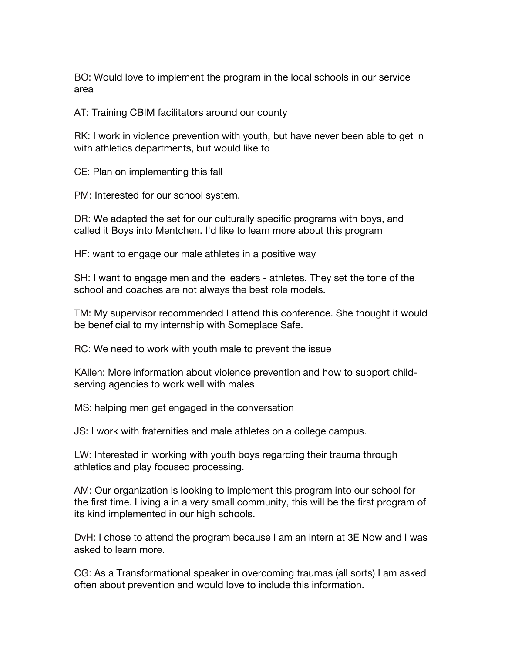BO: Would love to implement the program in the local schools in our service area

AT: Training CBIM facilitators around our county

RK: I work in violence prevention with youth, but have never been able to get in with athletics departments, but would like to

CE: Plan on implementing this fall

PM: Interested for our school system.

DR: We adapted the set for our culturally specific programs with boys, and called it Boys into Mentchen. I'd like to learn more about this program

HF: want to engage our male athletes in a positive way

SH: I want to engage men and the leaders - athletes. They set the tone of the school and coaches are not always the best role models.

TM: My supervisor recommended I attend this conference. She thought it would be beneficial to my internship with Someplace Safe.

RC: We need to work with youth male to prevent the issue

KAllen: More information about violence prevention and how to support childserving agencies to work well with males

MS: helping men get engaged in the conversation

JS: I work with fraternities and male athletes on a college campus.

LW: Interested in working with youth boys regarding their trauma through athletics and play focused processing.

AM: Our organization is looking to implement this program into our school for the first time. Living a in a very small community, this will be the first program of its kind implemented in our high schools.

DvH: I chose to attend the program because I am an intern at 3E Now and I was asked to learn more.

CG: As a Transformational speaker in overcoming traumas (all sorts) I am asked often about prevention and would love to include this information.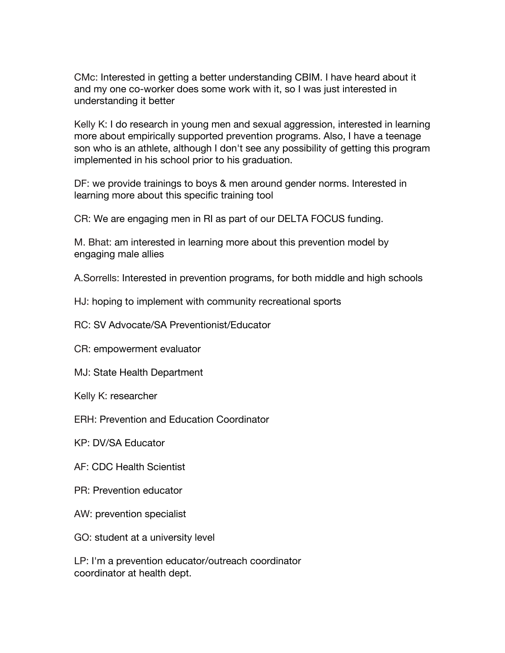CMc: Interested in getting a better understanding CBIM. I have heard about it and my one co-worker does some work with it, so I was just interested in understanding it better

Kelly K: I do research in young men and sexual aggression, interested in learning more about empirically supported prevention programs. Also, I have a teenage son who is an athlete, although I don't see any possibility of getting this program implemented in his school prior to his graduation.

DF: we provide trainings to boys & men around gender norms. Interested in learning more about this specific training tool

CR: We are engaging men in RI as part of our DELTA FOCUS funding.

M. Bhat: am interested in learning more about this prevention model by engaging male allies

A.Sorrells: Interested in prevention programs, for both middle and high schools

- HJ: hoping to implement with community recreational sports
- RC: SV Advocate/SA Preventionist/Educator
- CR: empowerment evaluator
- MJ: State Health Department
- Kelly K: researcher
- ERH: Prevention and Education Coordinator
- KP: DV/SA Educator
- AF: CDC Health Scientist
- PR: Prevention educator
- AW: prevention specialist
- GO: student at a university level

LP: I'm a prevention educator/outreach coordinator coordinator at health dept.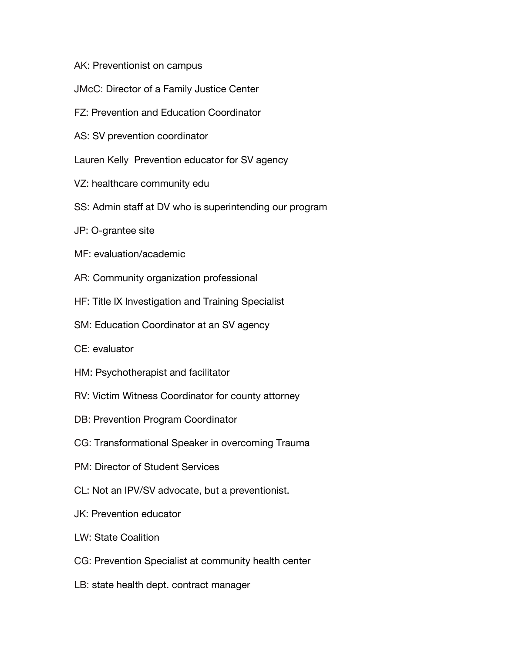- AK: Preventionist on campus
- JMcC: Director of a Family Justice Center
- FZ: Prevention and Education Coordinator
- AS: SV prevention coordinator
- Lauren Kelly Prevention educator for SV agency
- VZ: healthcare community edu
- SS: Admin staff at DV who is superintending our program
- JP: O-grantee site
- MF: evaluation/academic
- AR: Community organization professional
- HF: Title IX Investigation and Training Specialist
- SM: Education Coordinator at an SV agency
- CE: evaluator
- HM: Psychotherapist and facilitator
- RV: Victim Witness Coordinator for county attorney
- DB: Prevention Program Coordinator
- CG: Transformational Speaker in overcoming Trauma
- PM: Director of Student Services
- CL: Not an IPV/SV advocate, but a preventionist.
- JK: Prevention educator
- LW: State Coalition
- CG: Prevention Specialist at community health center
- LB: state health dept. contract manager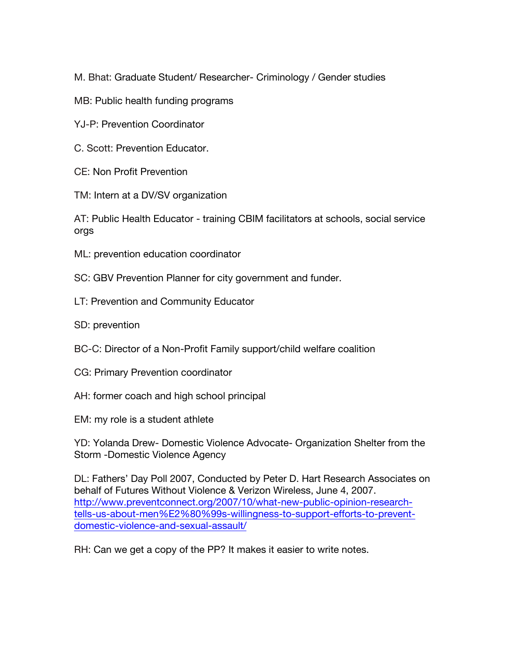M. Bhat: Graduate Student/ Researcher- Criminology / Gender studies

- MB: Public health funding programs
- YJ-P: Prevention Coordinator
- C. Scott: Prevention Educator.
- CE: Non Profit Prevention
- TM: Intern at a DV/SV organization

AT: Public Health Educator - training CBIM facilitators at schools, social service orgs

- ML: prevention education coordinator
- SC: GBV Prevention Planner for city government and funder.
- LT: Prevention and Community Educator
- SD: prevention
- BC-C: Director of a Non-Profit Family support/child welfare coalition
- CG: Primary Prevention coordinator
- AH: former coach and high school principal
- EM: my role is a student athlete

YD: Yolanda Drew- Domestic Violence Advocate- Organization Shelter from the Storm -Domestic Violence Agency

DL: Fathers' Day Poll 2007, Conducted by Peter D. Hart Research Associates on behalf of Futures Without Violence & Verizon Wireless, June 4, 2007. http://www.preventconnect.org/2007/10/what-new-public-opinion-researchtells-us-about-men%E2%80%99s-willingness-to-support-efforts-to-preventdomestic-violence-and-sexual-assault/

RH: Can we get a copy of the PP? It makes it easier to write notes.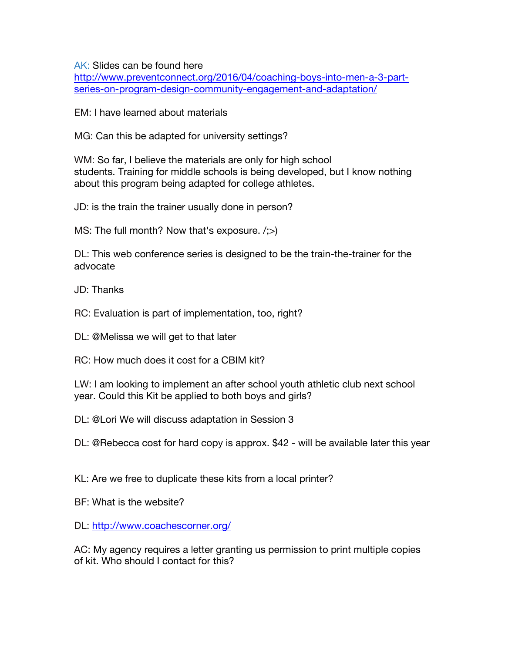AK: Slides can be found here

http://www.preventconnect.org/2016/04/coaching-boys-into-men-a-3-partseries-on-program-design-community-engagement-and-adaptation/

EM: I have learned about materials

MG: Can this be adapted for university settings?

WM: So far, I believe the materials are only for high school students. Training for middle schools is being developed, but I know nothing about this program being adapted for college athletes.

JD: is the train the trainer usually done in person?

MS: The full month? Now that's exposure.  $\langle \cdot, \cdot \rangle$ 

DL: This web conference series is designed to be the train-the-trainer for the advocate

JD: Thanks

RC: Evaluation is part of implementation, too, right?

DL: @Melissa we will get to that later

RC: How much does it cost for a CBIM kit?

LW: I am looking to implement an after school youth athletic club next school year. Could this Kit be applied to both boys and girls?

DL: @Lori We will discuss adaptation in Session 3

DL: @Rebecca cost for hard copy is approx. \$42 - will be available later this year

KL: Are we free to duplicate these kits from a local printer?

BF: What is the website?

DL: http://www.coachescorner.org/

AC: My agency requires a letter granting us permission to print multiple copies of kit. Who should I contact for this?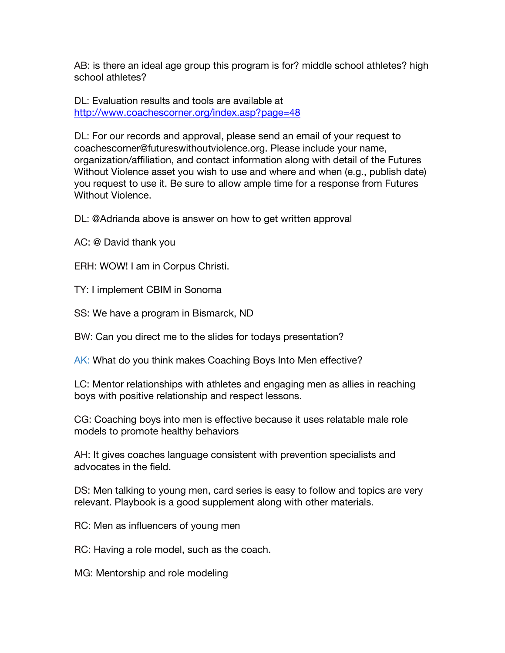AB: is there an ideal age group this program is for? middle school athletes? high school athletes?

DL: Evaluation results and tools are available at http://www.coachescorner.org/index.asp?page=48

DL: For our records and approval, please send an email of your request to coachescorner@futureswithoutviolence.org. Please include your name, organization/affiliation, and contact information along with detail of the Futures Without Violence asset you wish to use and where and when (e.g., publish date) you request to use it. Be sure to allow ample time for a response from Futures Without Violence.

DL: @Adrianda above is answer on how to get written approval

AC: @ David thank you

ERH: WOW! I am in Corpus Christi.

TY: I implement CBIM in Sonoma

SS: We have a program in Bismarck, ND

BW: Can you direct me to the slides for todays presentation?

AK: What do you think makes Coaching Boys Into Men effective?

LC: Mentor relationships with athletes and engaging men as allies in reaching boys with positive relationship and respect lessons.

CG: Coaching boys into men is effective because it uses relatable male role models to promote healthy behaviors

AH: It gives coaches language consistent with prevention specialists and advocates in the field.

DS: Men talking to young men, card series is easy to follow and topics are very relevant. Playbook is a good supplement along with other materials.

RC: Men as influencers of young men

RC: Having a role model, such as the coach.

MG: Mentorship and role modeling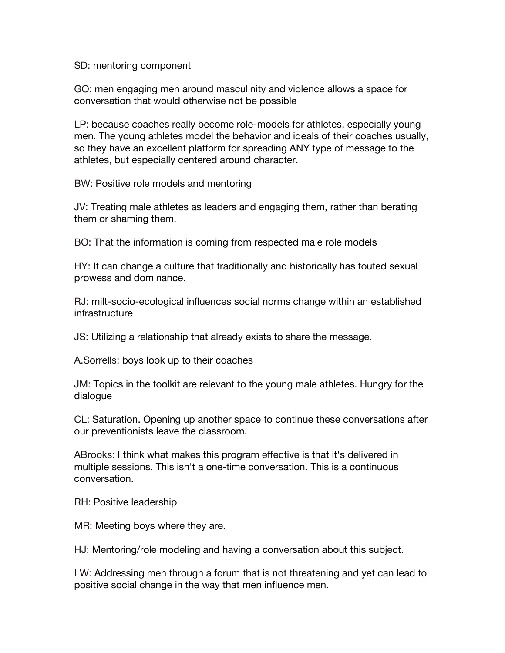SD: mentoring component

GO: men engaging men around masculinity and violence allows a space for conversation that would otherwise not be possible

LP: because coaches really become role-models for athletes, especially young men. The young athletes model the behavior and ideals of their coaches usually, so they have an excellent platform for spreading ANY type of message to the athletes, but especially centered around character.

BW: Positive role models and mentoring

JV: Treating male athletes as leaders and engaging them, rather than berating them or shaming them.

BO: That the information is coming from respected male role models

HY: It can change a culture that traditionally and historically has touted sexual prowess and dominance.

RJ: milt-socio-ecological influences social norms change within an established infrastructure

JS: Utilizing a relationship that already exists to share the message.

A.Sorrells: boys look up to their coaches

JM: Topics in the toolkit are relevant to the young male athletes. Hungry for the dialogue

CL: Saturation. Opening up another space to continue these conversations after our preventionists leave the classroom.

ABrooks: I think what makes this program effective is that it's delivered in multiple sessions. This isn't a one-time conversation. This is a continuous conversation.

RH: Positive leadership

MR: Meeting boys where they are.

HJ: Mentoring/role modeling and having a conversation about this subject.

LW: Addressing men through a forum that is not threatening and yet can lead to positive social change in the way that men influence men.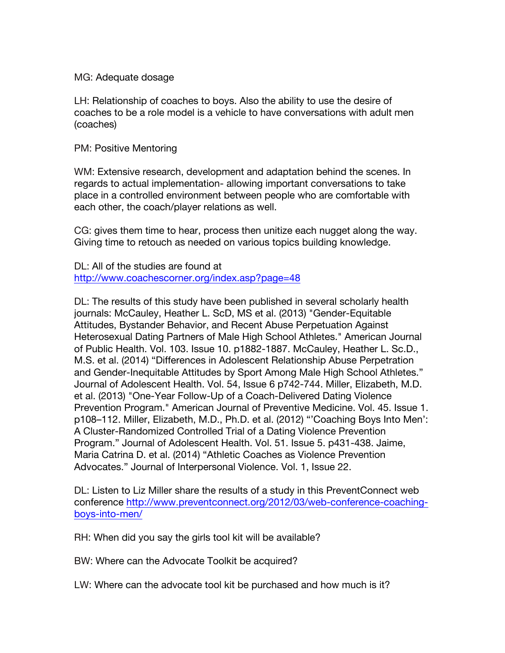## MG: Adequate dosage

LH: Relationship of coaches to boys. Also the ability to use the desire of coaches to be a role model is a vehicle to have conversations with adult men (coaches)

PM: Positive Mentoring

WM: Extensive research, development and adaptation behind the scenes. In regards to actual implementation- allowing important conversations to take place in a controlled environment between people who are comfortable with each other, the coach/player relations as well.

CG: gives them time to hear, process then unitize each nugget along the way. Giving time to retouch as needed on various topics building knowledge.

DL: All of the studies are found at http://www.coachescorner.org/index.asp?page=48

DL: The results of this study have been published in several scholarly health journals: McCauley, Heather L. ScD, MS et al. (2013) "Gender-Equitable Attitudes, Bystander Behavior, and Recent Abuse Perpetuation Against Heterosexual Dating Partners of Male High School Athletes." American Journal of Public Health. Vol. 103. Issue 10. p1882-1887. McCauley, Heather L. Sc.D., M.S. et al. (2014) "Differences in Adolescent Relationship Abuse Perpetration and Gender-Inequitable Attitudes by Sport Among Male High School Athletes." Journal of Adolescent Health. Vol. 54, Issue 6 p742-744. Miller, Elizabeth, M.D. et al. (2013) "One-Year Follow-Up of a Coach-Delivered Dating Violence Prevention Program." American Journal of Preventive Medicine. Vol. 45. Issue 1. p108–112. Miller, Elizabeth, M.D., Ph.D. et al. (2012) "'Coaching Boys Into Men': A Cluster-Randomized Controlled Trial of a Dating Violence Prevention Program." Journal of Adolescent Health. Vol. 51. Issue 5. p431-438. Jaime, Maria Catrina D. et al. (2014) "Athletic Coaches as Violence Prevention Advocates." Journal of Interpersonal Violence. Vol. 1, Issue 22.

DL: Listen to Liz Miller share the results of a study in this PreventConnect web conference http://www.preventconnect.org/2012/03/web-conference-coachingboys-into-men/

RH: When did you say the girls tool kit will be available?

BW: Where can the Advocate Toolkit be acquired?

LW: Where can the advocate tool kit be purchased and how much is it?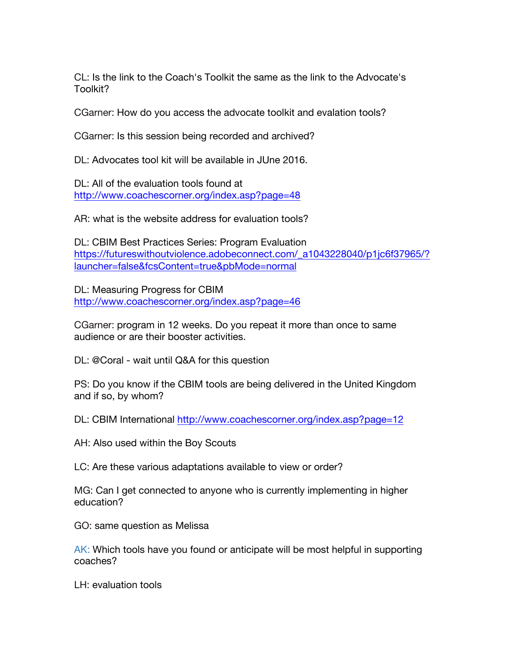CL: Is the link to the Coach's Toolkit the same as the link to the Advocate's Toolkit?

CGarner: How do you access the advocate toolkit and evalation tools?

CGarner: Is this session being recorded and archived?

DL: Advocates tool kit will be available in JUne 2016.

DL: All of the evaluation tools found at http://www.coachescorner.org/index.asp?page=48

AR: what is the website address for evaluation tools?

DL: CBIM Best Practices Series: Program Evaluation https://futureswithoutviolence.adobeconnect.com/\_a1043228040/p1jc6f37965/? launcher=false&fcsContent=true&pbMode=normal

DL: Measuring Progress for CBIM http://www.coachescorner.org/index.asp?page=46

CGarner: program in 12 weeks. Do you repeat it more than once to same audience or are their booster activities.

DL: @Coral - wait until Q&A for this question

PS: Do you know if the CBIM tools are being delivered in the United Kingdom and if so, by whom?

DL: CBIM International http://www.coachescorner.org/index.asp?page=12

AH: Also used within the Boy Scouts

LC: Are these various adaptations available to view or order?

MG: Can I get connected to anyone who is currently implementing in higher education?

GO: same question as Melissa

AK: Which tools have you found or anticipate will be most helpful in supporting coaches?

LH: evaluation tools